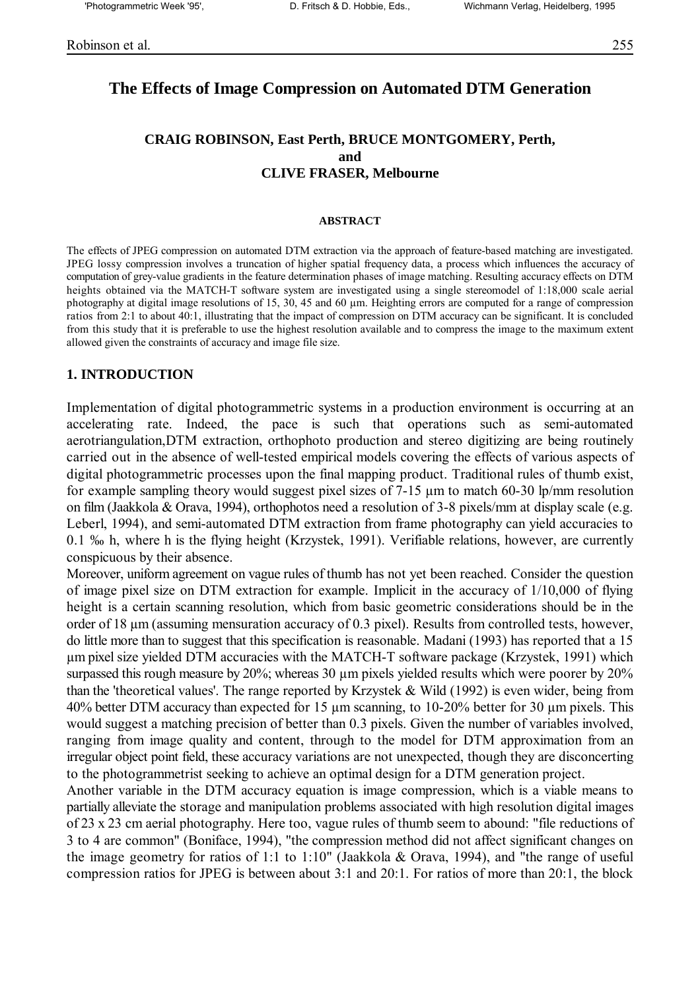## **The Effects of Image Compression on Automated DTM Generation**

## **CRAIG ROBINSON, East Perth, BRUCE MONTGOMERY, Perth, and CLIVE FRASER, Melbourne**

#### **ABSTRACT**

The effects of JPEG compression on automated DTM extraction via the approach of feature-based matching are investigated. JPEG lossy compression involves a truncation of higher spatial frequency data, a process which influences the accuracy of computation of grey-value gradients in the feature determination phases of image matching. Resulting accuracy effects on DTM heights obtained via the MATCH-T software system are investigated using a single stereomodel of 1:18,000 scale aerial photography at digital image resolutions of 15, 30, 45 and 60 µm. Heighting errors are computed for a range of compression ratios from 2:1 to about 40:1, illustrating that the impact of compression on DTM accuracy can be significant. It is concluded from this study that it is preferable to use the highest resolution available and to compress the image to the maximum extent allowed given the constraints of accuracy and image file size.

#### **1. INTRODUCTION**

Implementation of digital photogrammetric systems in a production environment is occurring at an accelerating rate. Indeed, the pace is such that operations such as semi-automated aerotriangulation,DTM extraction, orthophoto production and stereo digitizing are being routinely carried out in the absence of well-tested empirical models covering the effects of various aspects of digital photogrammetric processes upon the final mapping product. Traditional rules of thumb exist, for example sampling theory would suggest pixel sizes of 7-15 µm to match 60-30 lp/mm resolution on film (Jaakkola & Orava, 1994), orthophotos need a resolution of 3-8 pixels/mm at display scale (e.g. Leberl, 1994), and semi-automated DTM extraction from frame photography can yield accuracies to 0.1 % h, where h is the flying height (Krzystek, 1991). Verifiable relations, however, are currently conspicuous by their absence.

Moreover, uniform agreement on vague rules of thumb has not yet been reached. Consider the question of image pixel size on DTM extraction for example. Implicit in the accuracy of 1/10,000 of flying height is a certain scanning resolution, which from basic geometric considerations should be in the order of 18 µm (assuming mensuration accuracy of 0.3 pixel). Results from controlled tests, however, do little more than to suggest that this specification is reasonable. Madani (1993) has reported that a 15 µm pixel size yielded DTM accuracies with the MATCH-T software package (Krzystek, 1991) which surpassed this rough measure by 20%; whereas 30  $\mu$ m pixels yielded results which were poorer by 20% than the 'theoretical values'. The range reported by Krzystek & Wild (1992) is even wider, being from 40% better DTM accuracy than expected for 15 µm scanning, to 10-20% better for 30 µm pixels. This would suggest a matching precision of better than 0.3 pixels. Given the number of variables involved, ranging from image quality and content, through to the model for DTM approximation from an irregular object point field, these accuracy variations are not unexpected, though they are disconcerting to the photogrammetrist seeking to achieve an optimal design for a DTM generation project.

Another variable in the DTM accuracy equation is image compression, which is a viable means to partially alleviate the storage and manipulation problems associated with high resolution digital images of 23 x 23 cm aerial photography. Here too, vague rules of thumb seem to abound: "file reductions of 3 to 4 are common" (Boniface, 1994), "the compression method did not affect significant changes on the image geometry for ratios of 1:1 to 1:10" (Jaakkola & Orava, 1994), and "the range of useful compression ratios for JPEG is between about 3:1 and 20:1. For ratios of more than 20:1, the block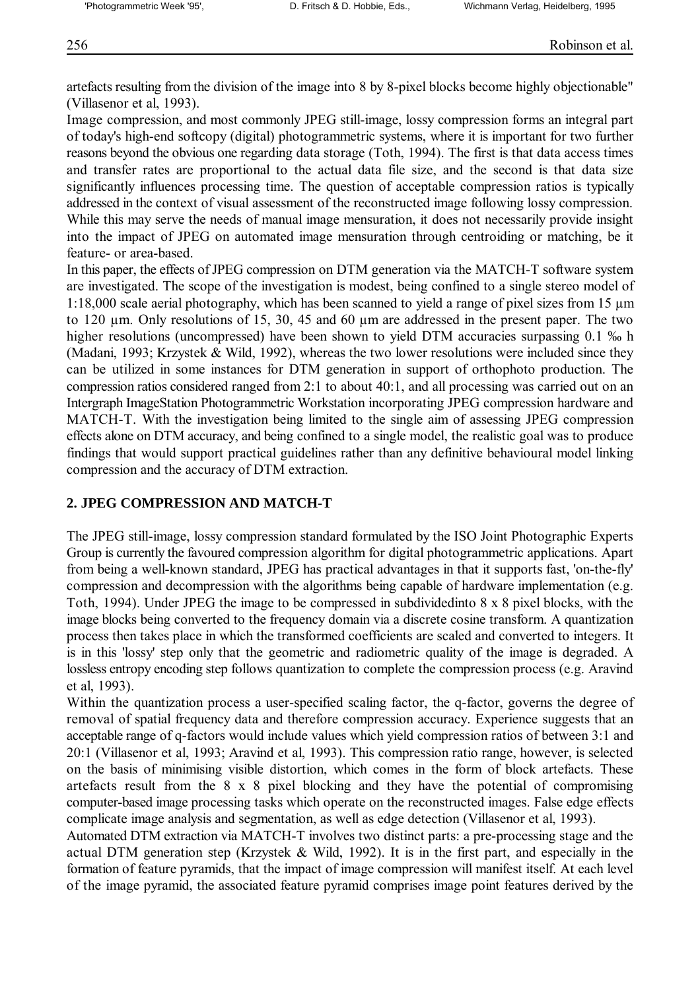artefacts resulting from the division of the image into 8 by 8-pixel blocks become highly objectionable" (Villasenor et al, 1993).

Image compression, and most commonly JPEG still-image, lossy compression forms an integral part of today's high-end softcopy (digital) photogrammetric systems, where it is important for two further reasons beyond the obvious one regarding data storage (Toth, 1994). The first is that data access times and transfer rates are proportional to the actual data file size, and the second is that data size significantly influences processing time. The question of acceptable compression ratios is typically addressed in the context of visual assessment of the reconstructed image following lossy compression. While this may serve the needs of manual image mensuration, it does not necessarily provide insight into the impact of JPEG on automated image mensuration through centroiding or matching, be it feature- or area-based.

In this paper, the effects of JPEG compression on DTM generation via the MATCH-T software system are investigated. The scope of the investigation is modest, being confined to a single stereo model of 1:18,000 scale aerial photography, which has been scanned to yield a range of pixel sizes from 15 µm to 120 µm. Only resolutions of 15, 30, 45 and 60 µm are addressed in the present paper. The two higher resolutions (uncompressed) have been shown to yield DTM accuracies surpassing 0.1 % h (Madani, 1993; Krzystek & Wild, 1992), whereas the two lower resolutions were included since they can be utilized in some instances for DTM generation in support of orthophoto production. The compression ratios considered ranged from 2:1 to about 40:1, and all processing was carried out on an Intergraph ImageStation Photogrammetric Workstation incorporating JPEG compression hardware and MATCH-T. With the investigation being limited to the single aim of assessing JPEG compression effects alone on DTM accuracy, and being confined to a single model, the realistic goal was to produce findings that would support practical guidelines rather than any definitive behavioural model linking compression and the accuracy of DTM extraction.

# **2. JPEG COMPRESSION AND MATCH-T**

The JPEG still-image, lossy compression standard formulated by the ISO Joint Photographic Experts Group is currently the favoured compression algorithm for digital photogrammetric applications. Apart from being a well-known standard, JPEG has practical advantages in that it supports fast, 'on-the-fly' compression and decompression with the algorithms being capable of hardware implementation (e.g. Toth, 1994). Under JPEG the image to be compressed in subdividedinto 8 x 8 pixel blocks, with the image blocks being converted to the frequency domain via a discrete cosine transform. A quantization process then takes place in which the transformed coefficients are scaled and converted to integers. It is in this 'lossy' step only that the geometric and radiometric quality of the image is degraded. A lossless entropy encoding step follows quantization to complete the compression process (e.g. Aravind et al, 1993).

Within the quantization process a user-specified scaling factor, the q-factor, governs the degree of removal of spatial frequency data and therefore compression accuracy. Experience suggests that an acceptable range of q-factors would include values which yield compression ratios of between 3:1 and 20:1 (Villasenor et al, 1993; Aravind et al, 1993). This compression ratio range, however, is selected on the basis of minimising visible distortion, which comes in the form of block artefacts. These artefacts result from the 8 x 8 pixel blocking and they have the potential of compromising computer-based image processing tasks which operate on the reconstructed images. False edge effects complicate image analysis and segmentation, as well as edge detection (Villasenor et al, 1993).

Automated DTM extraction via MATCH-T involves two distinct parts: a pre-processing stage and the actual DTM generation step (Krzystek & Wild, 1992). It is in the first part, and especially in the formation of feature pyramids, that the impact of image compression will manifest itself. At each level of the image pyramid, the associated feature pyramid comprises image point features derived by the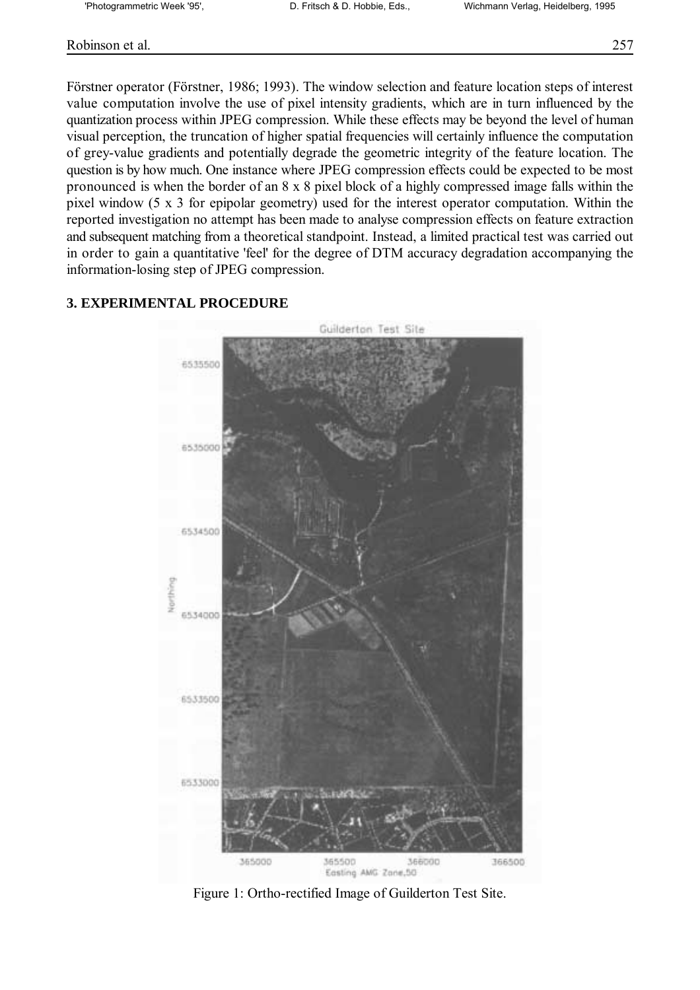## Robinson et al. 257

Förstner operator (Förstner, 1986; 1993). The window selection and feature location steps of interest value computation involve the use of pixel intensity gradients, which are in turn influenced by the quantization process within JPEG compression. While these effects may be beyond the level of human visual perception, the truncation of higher spatial frequencies will certainly influence the computation of grey-value gradients and potentially degrade the geometric integrity of the feature location. The question is by how much. One instance where JPEG compression effects could be expected to be most pronounced is when the border of an 8 x 8 pixel block of a highly compressed image falls within the pixel window (5 x 3 for epipolar geometry) used for the interest operator computation. Within the reported investigation no attempt has been made to analyse compression effects on feature extraction and subsequent matching from a theoretical standpoint. Instead, a limited practical test was carried out in order to gain a quantitative 'feel' for the degree of DTM accuracy degradation accompanying the information-losing step of JPEG compression.

## **3. EXPERIMENTAL PROCEDURE**



Figure 1: Ortho-rectified Image of Guilderton Test Site.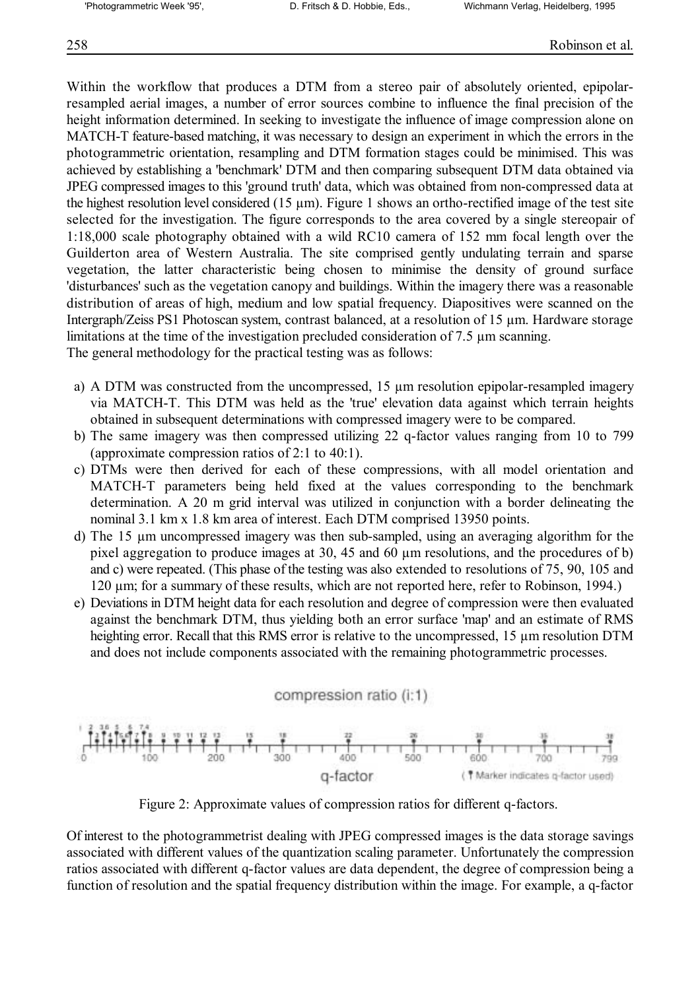## 258 Robinson et al.

Within the workflow that produces a DTM from a stereo pair of absolutely oriented, epipolarresampled aerial images, a number of error sources combine to influence the final precision of the height information determined. In seeking to investigate the influence of image compression alone on MATCH-T feature-based matching, it was necessary to design an experiment in which the errors in the photogrammetric orientation, resampling and DTM formation stages could be minimised. This was achieved by establishing a 'benchmark' DTM and then comparing subsequent DTM data obtained via JPEG compressed images to this 'ground truth' data, which was obtained from non-compressed data at the highest resolution level considered (15  $\mu$ m). Figure 1 shows an ortho-rectified image of the test site selected for the investigation. The figure corresponds to the area covered by a single stereopair of 1:18,000 scale photography obtained with a wild RC10 camera of 152 mm focal length over the Guilderton area of Western Australia. The site comprised gently undulating terrain and sparse vegetation, the latter characteristic being chosen to minimise the density of ground surface 'disturbances' such as the vegetation canopy and buildings. Within the imagery there was a reasonable distribution of areas of high, medium and low spatial frequency. Diapositives were scanned on the Intergraph/Zeiss PS1 Photoscan system, contrast balanced, at a resolution of 15 µm. Hardware storage limitations at the time of the investigation precluded consideration of 7.5 µm scanning. The general methodology for the practical testing was as follows:

- a) A DTM was constructed from the uncompressed, 15 µm resolution epipolar-resampled imagery via MATCH-T. This DTM was held as the 'true' elevation data against which terrain heights obtained in subsequent determinations with compressed imagery were to be compared.
- b) The same imagery was then compressed utilizing 22 q-factor values ranging from 10 to 799 (approximate compression ratios of 2:1 to 40:1).
- c) DTMs were then derived for each of these compressions, with all model orientation and MATCH-T parameters being held fixed at the values corresponding to the benchmark determination. A 20 m grid interval was utilized in conjunction with a border delineating the nominal 3.1 km x 1.8 km area of interest. Each DTM comprised 13950 points.
- d) The 15 µm uncompressed imagery was then sub-sampled, using an averaging algorithm for the pixel aggregation to produce images at 30, 45 and 60 µm resolutions, and the procedures of b) and c) were repeated. (This phase of the testing was also extended to resolutions of 75, 90, 105 and 120 µm; for a summary of these results, which are not reported here, refer to Robinson, 1994.)
- e) Deviations in DTM height data for each resolution and degree of compression were then evaluated against the benchmark DTM, thus yielding both an error surface 'map' and an estimate of RMS heighting error. Recall that this RMS error is relative to the uncompressed, 15  $\mu$ m resolution DTM and does not include components associated with the remaining photogrammetric processes.

compression ratio (i:1)



Figure 2: Approximate values of compression ratios for different q-factors.

Of interest to the photogrammetrist dealing with JPEG compressed images is the data storage savings associated with different values of the quantization scaling parameter. Unfortunately the compression ratios associated with different q-factor values are data dependent, the degree of compression being a function of resolution and the spatial frequency distribution within the image. For example, a q-factor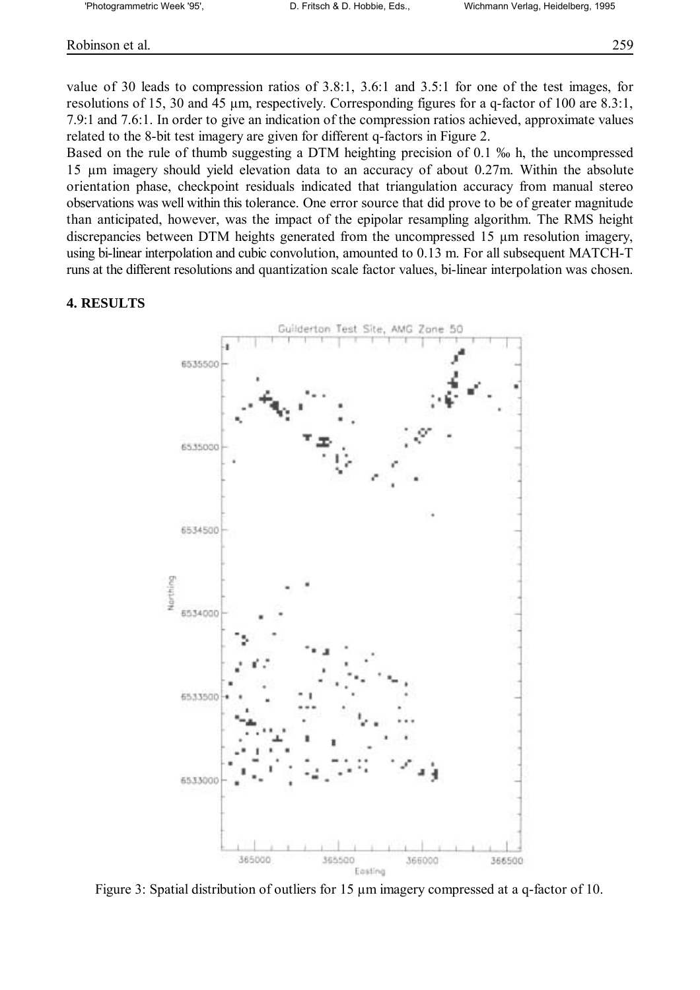value of 30 leads to compression ratios of 3.8:1, 3.6:1 and 3.5:1 for one of the test images, for resolutions of 15, 30 and 45 µm, respectively. Corresponding figures for a q-factor of 100 are 8.3:1, 7.9:1 and 7.6:1. In order to give an indication of the compression ratios achieved, approximate values related to the 8-bit test imagery are given for different q-factors in Figure 2.

Based on the rule of thumb suggesting a DTM heighting precision of  $0.1$  % h, the uncompressed 15 µm imagery should yield elevation data to an accuracy of about 0.27m. Within the absolute orientation phase, checkpoint residuals indicated that triangulation accuracy from manual stereo observations was well within this tolerance. One error source that did prove to be of greater magnitude than anticipated, however, was the impact of the epipolar resampling algorithm. The RMS height discrepancies between DTM heights generated from the uncompressed 15 µm resolution imagery, using bi-linear interpolation and cubic convolution, amounted to 0.13 m. For all subsequent MATCH-T runs at the different resolutions and quantization scale factor values, bi-linear interpolation was chosen.

## **4. RESULTS**



Figure 3: Spatial distribution of outliers for 15  $\mu$ m imagery compressed at a q-factor of 10.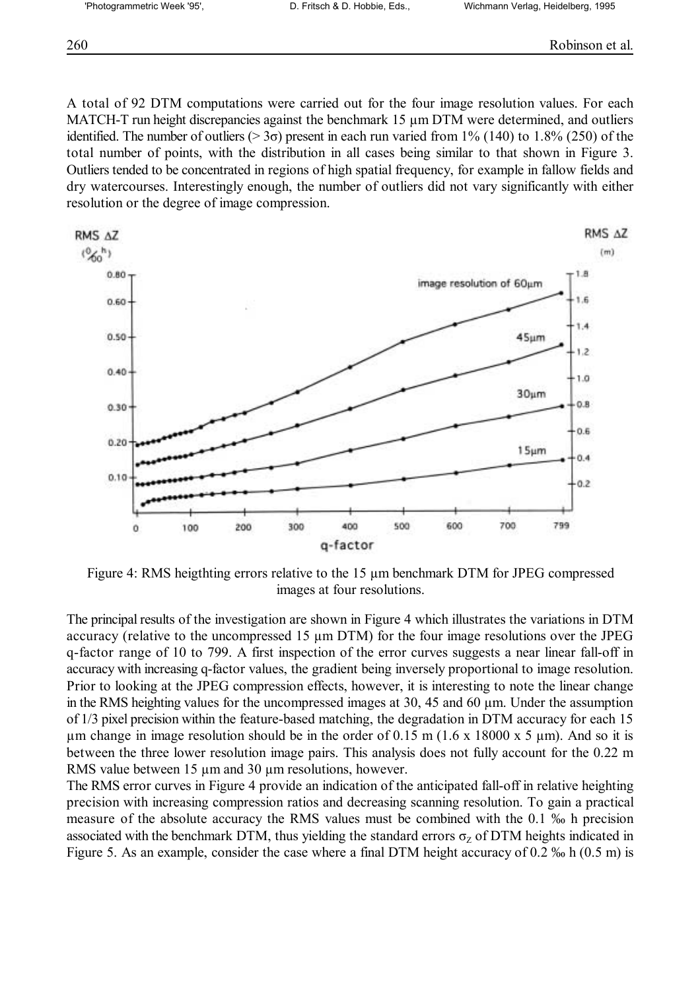A total of 92 DTM computations were carried out for the four image resolution values. For each MATCH-T run height discrepancies against the benchmark 15  $\mu$ m DTM were determined, and outliers identified. The number of outliers  $(>3\sigma)$  present in each run varied from 1% (140) to 1.8% (250) of the total number of points, with the distribution in all cases being similar to that shown in Figure 3. Outliers tended to be concentrated in regions of high spatial frequency, for example in fallow fields and dry watercourses. Interestingly enough, the number of outliers did not vary significantly with either resolution or the degree of image compression.



Figure 4: RMS heigthting errors relative to the 15 µm benchmark DTM for JPEG compressed images at four resolutions.

The principal results of the investigation are shown in Figure 4 which illustrates the variations in DTM accuracy (relative to the uncompressed 15 µm DTM) for the four image resolutions over the JPEG q-factor range of 10 to 799. A first inspection of the error curves suggests a near linear fall-off in accuracy with increasing q-factor values, the gradient being inversely proportional to image resolution. Prior to looking at the JPEG compression effects, however, it is interesting to note the linear change in the RMS heighting values for the uncompressed images at 30, 45 and 60 µm. Under the assumption of 1/3 pixel precision within the feature-based matching, the degradation in DTM accuracy for each 15  $\mu$ m change in image resolution should be in the order of 0.15 m (1.6 x 18000 x 5  $\mu$ m). And so it is between the three lower resolution image pairs. This analysis does not fully account for the 0.22 m RMS value between 15  $\mu$ m and 30  $\mu$ m resolutions, however.

The RMS error curves in Figure 4 provide an indication of the anticipated fall-off in relative heighting precision with increasing compression ratios and decreasing scanning resolution. To gain a practical measure of the absolute accuracy the RMS values must be combined with the 0.1 % h precision associated with the benchmark DTM, thus yielding the standard errors  $\sigma$ <sub>z</sub> of DTM heights indicated in Figure 5. As an example, consider the case where a final DTM height accuracy of 0.2  $\%$  h (0.5 m) is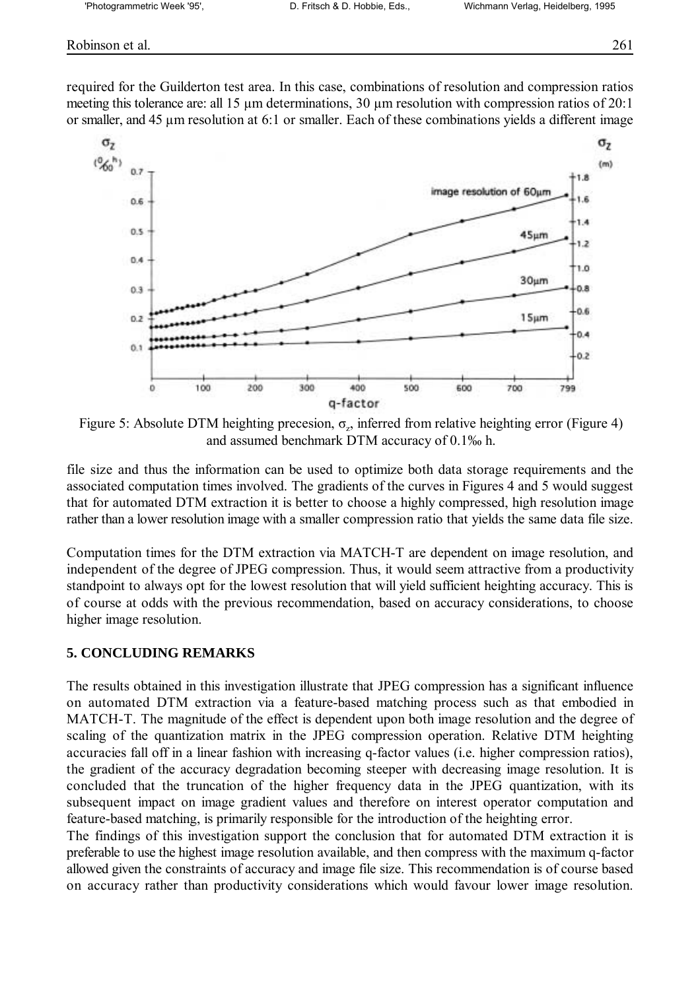required for the Guilderton test area. In this case, combinations of resolution and compression ratios meeting this tolerance are: all 15  $\mu$ m determinations, 30  $\mu$ m resolution with compression ratios of 20:1 or smaller, and 45 µm resolution at 6:1 or smaller. Each of these combinations yields a different image



Figure 5: Absolute DTM heighting precesion,  $\sigma_z$ , inferred from relative heighting error (Figure 4) and assumed benchmark DTM accuracy of 0.1% h.

file size and thus the information can be used to optimize both data storage requirements and the associated computation times involved. The gradients of the curves in Figures 4 and 5 would suggest that for automated DTM extraction it is better to choose a highly compressed, high resolution image rather than a lower resolution image with a smaller compression ratio that yields the same data file size.

Computation times for the DTM extraction via MATCH-T are dependent on image resolution, and independent of the degree of JPEG compression. Thus, it would seem attractive from a productivity standpoint to always opt for the lowest resolution that will yield sufficient heighting accuracy. This is of course at odds with the previous recommendation, based on accuracy considerations, to choose higher image resolution.

#### **5. CONCLUDING REMARKS**

The results obtained in this investigation illustrate that JPEG compression has a significant influence on automated DTM extraction via a feature-based matching process such as that embodied in MATCH-T. The magnitude of the effect is dependent upon both image resolution and the degree of scaling of the quantization matrix in the JPEG compression operation. Relative DTM heighting accuracies fall off in a linear fashion with increasing q-factor values (i.e. higher compression ratios), the gradient of the accuracy degradation becoming steeper with decreasing image resolution. It is concluded that the truncation of the higher frequency data in the JPEG quantization, with its subsequent impact on image gradient values and therefore on interest operator computation and feature-based matching, is primarily responsible for the introduction of the heighting error.

The findings of this investigation support the conclusion that for automated DTM extraction it is preferable to use the highest image resolution available, and then compress with the maximum q-factor allowed given the constraints of accuracy and image file size. This recommendation is of course based on accuracy rather than productivity considerations which would favour lower image resolution.